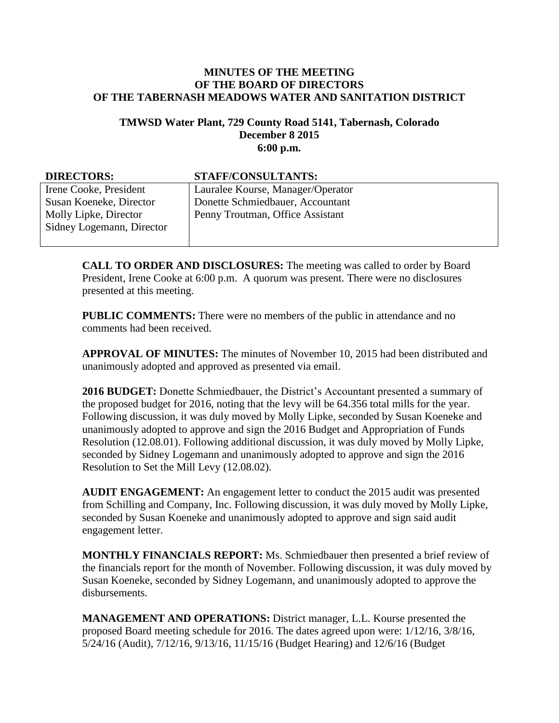## **MINUTES OF THE MEETING OF THE BOARD OF DIRECTORS OF THE TABERNASH MEADOWS WATER AND SANITATION DISTRICT**

## **TMWSD Water Plant, 729 County Road 5141, Tabernash, Colorado December 8 2015 6:00 p.m.**

| <b>DIRECTORS:</b>         | STAFF/CONSULTANTS:                |
|---------------------------|-----------------------------------|
| Irene Cooke, President    | Lauralee Kourse, Manager/Operator |
| Susan Koeneke, Director   | Donette Schmiedbauer, Accountant  |
| Molly Lipke, Director     | Penny Troutman, Office Assistant  |
| Sidney Logemann, Director |                                   |
|                           |                                   |

**CALL TO ORDER AND DISCLOSURES:** The meeting was called to order by Board President, Irene Cooke at 6:00 p.m. A quorum was present. There were no disclosures presented at this meeting.

**PUBLIC COMMENTS:** There were no members of the public in attendance and no comments had been received.

**APPROVAL OF MINUTES:** The minutes of November 10, 2015 had been distributed and unanimously adopted and approved as presented via email.

**2016 BUDGET:** Donette Schmiedbauer, the District's Accountant presented a summary of the proposed budget for 2016, noting that the levy will be 64.356 total mills for the year. Following discussion, it was duly moved by Molly Lipke, seconded by Susan Koeneke and unanimously adopted to approve and sign the 2016 Budget and Appropriation of Funds Resolution (12.08.01). Following additional discussion, it was duly moved by Molly Lipke, seconded by Sidney Logemann and unanimously adopted to approve and sign the 2016 Resolution to Set the Mill Levy (12.08.02).

**AUDIT ENGAGEMENT:** An engagement letter to conduct the 2015 audit was presented from Schilling and Company, Inc. Following discussion, it was duly moved by Molly Lipke, seconded by Susan Koeneke and unanimously adopted to approve and sign said audit engagement letter.

**MONTHLY FINANCIALS REPORT:** Ms. Schmiedbauer then presented a brief review of the financials report for the month of November. Following discussion, it was duly moved by Susan Koeneke, seconded by Sidney Logemann, and unanimously adopted to approve the disbursements.

**MANAGEMENT AND OPERATIONS:** District manager, L.L. Kourse presented the proposed Board meeting schedule for 2016. The dates agreed upon were: 1/12/16, 3/8/16, 5/24/16 (Audit), 7/12/16, 9/13/16, 11/15/16 (Budget Hearing) and 12/6/16 (Budget